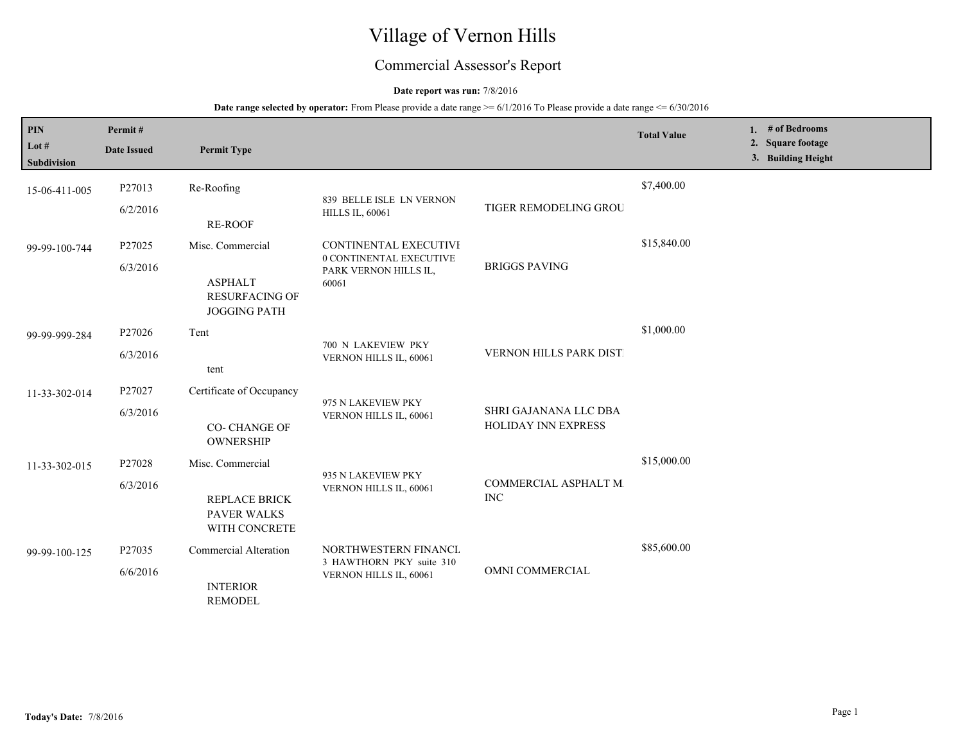# Village of Vernon Hills

## Commercial Assessor's Report

## **Date report was run:** 7/8/2016

| PIN<br>Lot $#$<br><b>Subdivision</b> | Permit#<br><b>Date Issued</b> | <b>Permit Type</b>                                                          |                                                                                    |                                              | <b>Total Value</b> | 1. $#$ of Bedrooms<br>2. Square footage<br>3. Building Height |  |
|--------------------------------------|-------------------------------|-----------------------------------------------------------------------------|------------------------------------------------------------------------------------|----------------------------------------------|--------------------|---------------------------------------------------------------|--|
| 15-06-411-005                        | P27013<br>6/2/2016            | Re-Roofing<br><b>RE-ROOF</b>                                                | 839 BELLE ISLE LN VERNON<br><b>HILLS IL, 60061</b>                                 | TIGER REMODELING GROU                        | \$7,400.00         |                                                               |  |
| 99-99-100-744                        | P27025<br>6/3/2016            | Misc. Commercial<br><b>ASPHALT</b><br>RESURFACING OF<br><b>JOGGING PATH</b> | CONTINENTAL EXECUTIVI<br>0 CONTINENTAL EXECUTIVE<br>PARK VERNON HILLS IL,<br>60061 | <b>BRIGGS PAVING</b>                         | \$15,840.00        |                                                               |  |
| 99-99-999-284                        | P27026<br>6/3/2016            | Tent<br>tent                                                                | 700 N LAKEVIEW PKY<br>VERNON HILLS IL, 60061                                       | VERNON HILLS PARK DIST                       | \$1,000.00         |                                                               |  |
| 11-33-302-014                        | P27027<br>6/3/2016            | Certificate of Occupancy<br><b>CO- CHANGE OF</b><br>OWNERSHIP               | 975 N LAKEVIEW PKY<br>VERNON HILLS IL, 60061                                       | SHRI GAJANANA LLC DBA<br>HOLIDAY INN EXPRESS |                    |                                                               |  |
| 11-33-302-015                        | P27028<br>6/3/2016            | Misc. Commercial<br>REPLACE BRICK<br><b>PAVER WALKS</b><br>WITH CONCRETE    | 935 N LAKEVIEW PKY<br>VERNON HILLS IL, 60061                                       | COMMERCIAL ASPHALT M.<br><b>INC</b>          | \$15,000.00        |                                                               |  |
| 99-99-100-125                        | P27035<br>6/6/2016            | Commercial Alteration<br><b>INTERIOR</b><br><b>REMODEL</b>                  | NORTHWESTERN FINANCL<br>3 HAWTHORN PKY suite 310<br>VERNON HILLS IL, 60061         | OMNI COMMERCIAL                              | \$85,600.00        |                                                               |  |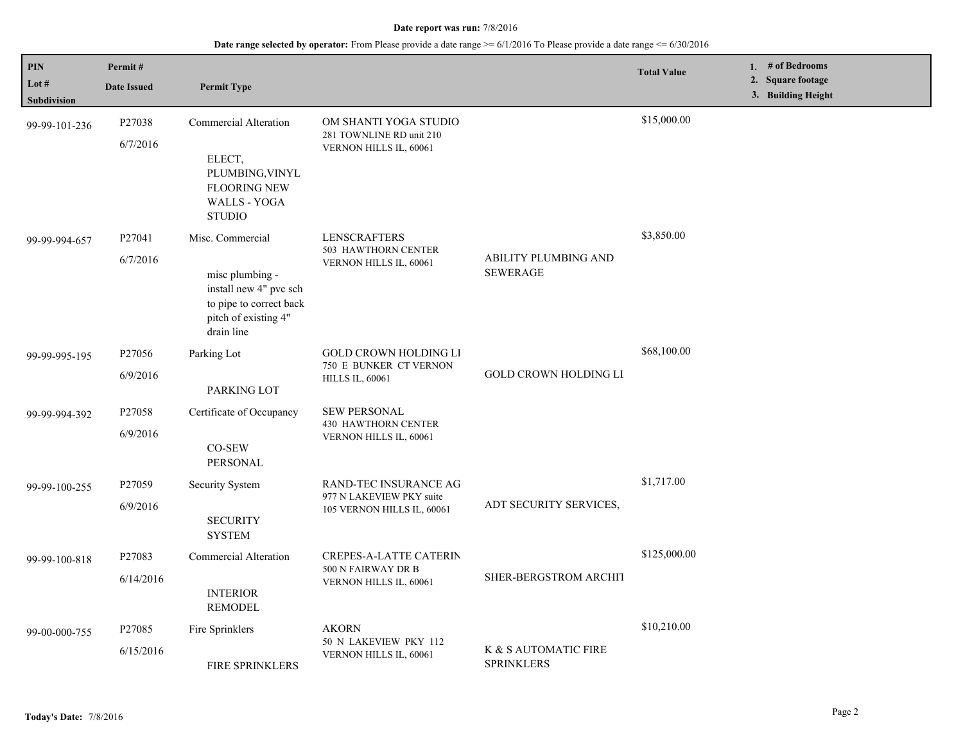| PIN                           | Permit#                         |                                                                                                                                |                                                                                  |                                                | <b>Total Value</b> | 1. # of Bedrooms                        |
|-------------------------------|---------------------------------|--------------------------------------------------------------------------------------------------------------------------------|----------------------------------------------------------------------------------|------------------------------------------------|--------------------|-----------------------------------------|
| Lot $#$<br><b>Subdivision</b> | <b>Date Issued</b>              | <b>Permit Type</b>                                                                                                             |                                                                                  |                                                |                    | 2. Square footage<br>3. Building Height |
| 99-99-101-236                 | P27038<br>6/7/2016              | <b>Commercial Alteration</b><br>ELECT,<br>PLUMBING, VINYL<br><b>FLOORING NEW</b><br>WALLS - YOGA<br><b>STUDIO</b>              | OM SHANTI YOGA STUDIO<br>281 TOWNLINE RD unit 210<br>VERNON HILLS IL, 60061      |                                                | \$15,000.00        |                                         |
| 99-99-994-657                 | P <sub>27041</sub><br>6/7/2016  | Misc. Commercial<br>misc plumbing -<br>install new 4" pvc sch<br>to pipe to correct back<br>pitch of existing 4"<br>drain line | <b>LENSCRAFTERS</b><br>503 HAWTHORN CENTER<br>VERNON HILLS IL, 60061             | <b>ABILITY PLUMBING AND</b><br><b>SEWERAGE</b> | \$3,850.00         |                                         |
| 99-99-995-195                 | P <sub>27056</sub><br>6/9/2016  | Parking Lot<br>PARKING LOT                                                                                                     | <b>GOLD CROWN HOLDING LI</b><br>750 E BUNKER CT VERNON<br><b>HILLS IL, 60061</b> | <b>GOLD CROWN HOLDING LI</b>                   | \$68,100.00        |                                         |
| 99-99-994-392                 | P27058<br>6/9/2016              | Certificate of Occupancy<br>CO-SEW<br><b>PERSONAL</b>                                                                          | SEW PERSONAL<br><b>430 HAWTHORN CENTER</b><br>VERNON HILLS IL, 60061             |                                                |                    |                                         |
| 99-99-100-255                 | P <sub>27059</sub><br>6/9/2016  | Security System<br><b>SECURITY</b><br><b>SYSTEM</b>                                                                            | RAND-TEC INSURANCE AG<br>977 N LAKEVIEW PKY suite<br>105 VERNON HILLS IL, 60061  | ADT SECURITY SERVICES,                         | \$1,717.00         |                                         |
| 99-99-100-818                 | P27083<br>6/14/2016             | Commercial Alteration<br><b>INTERIOR</b><br><b>REMODEL</b>                                                                     | CREPES-A-LATTE CATERIN<br>500 N FAIRWAY DR B<br>VERNON HILLS IL, 60061           | SHER-BERGSTROM ARCHIT                          | \$125,000.00       |                                         |
| 99-00-000-755                 | P <sub>27085</sub><br>6/15/2016 | Fire Sprinklers<br>FIRE SPRINKLERS                                                                                             | <b>AKORN</b><br>50 N LAKEVIEW PKY 112<br>VERNON HILLS IL, 60061                  | K & S AUTOMATIC FIRE<br><b>SPRINKLERS</b>      | \$10,210.00        |                                         |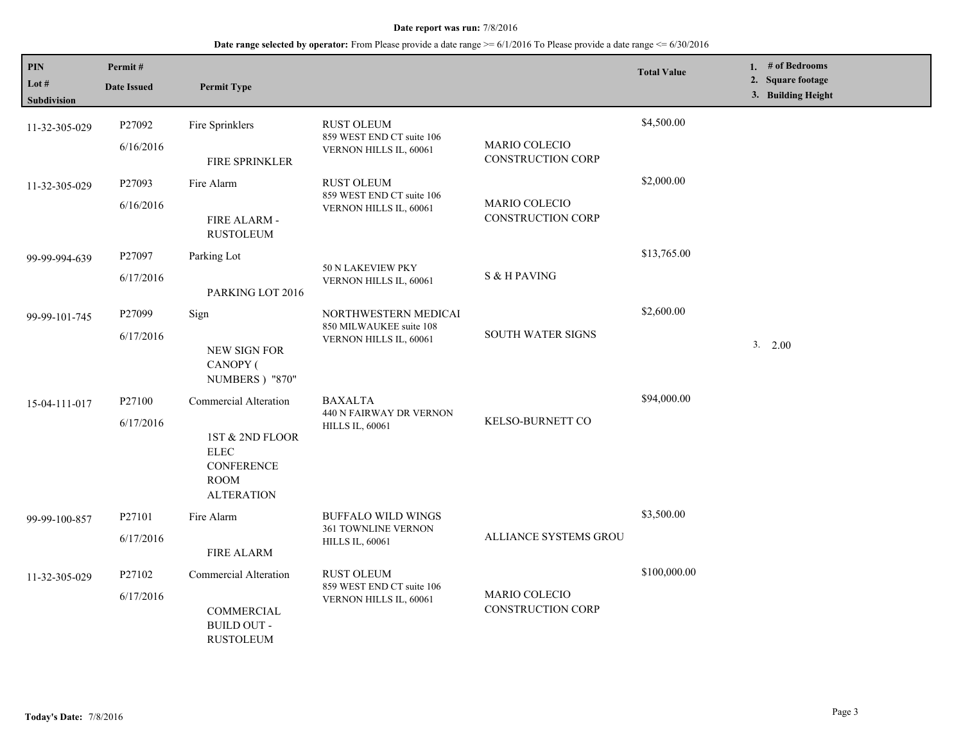| $\mathbf{PIN}$<br>Lot $#$<br><b>Subdivision</b> | Permit#<br><b>Date Issued</b>   | <b>Permit Type</b>                                                                                               |                                                                            |                                                  | <b>Total Value</b> | 1. # of Bedrooms<br>2. Square footage<br>3. Building Height |
|-------------------------------------------------|---------------------------------|------------------------------------------------------------------------------------------------------------------|----------------------------------------------------------------------------|--------------------------------------------------|--------------------|-------------------------------------------------------------|
| 11-32-305-029                                   | P27092<br>6/16/2016             | Fire Sprinklers<br>FIRE SPRINKLER                                                                                | <b>RUST OLEUM</b><br>859 WEST END CT suite 106<br>VERNON HILLS IL, 60061   | <b>MARIO COLECIO</b><br><b>CONSTRUCTION CORP</b> | \$4,500.00         |                                                             |
| 11-32-305-029                                   | P27093<br>6/16/2016             | Fire Alarm<br>FIRE ALARM -<br><b>RUSTOLEUM</b>                                                                   | <b>RUST OLEUM</b><br>859 WEST END CT suite 106<br>VERNON HILLS IL, 60061   | MARIO COLECIO<br><b>CONSTRUCTION CORP</b>        | \$2,000.00         |                                                             |
| 99-99-994-639                                   | P27097<br>6/17/2016             | Parking Lot<br>PARKING LOT 2016                                                                                  | 50 N LAKEVIEW PKY<br>VERNON HILLS IL, 60061                                | S & H PAVING                                     | \$13,765.00        |                                                             |
| 99-99-101-745                                   | P27099<br>6/17/2016             | Sign<br>NEW SIGN FOR<br>CANOPY (<br><b>NUMBERS</b> ) "870"                                                       | NORTHWESTERN MEDICAI<br>850 MILWAUKEE suite 108<br>VERNON HILLS IL, 60061  | SOUTH WATER SIGNS                                | \$2,600.00         | 3. 2.00                                                     |
| 15-04-111-017                                   | P <sub>27100</sub><br>6/17/2016 | Commercial Alteration<br>1ST & 2ND FLOOR<br><b>ELEC</b><br><b>CONFERENCE</b><br><b>ROOM</b><br><b>ALTERATION</b> | <b>BAXALTA</b><br>440 N FAIRWAY DR VERNON<br><b>HILLS IL, 60061</b>        | KELSO-BURNETT CO                                 | \$94,000.00        |                                                             |
| 99-99-100-857                                   | P27101<br>6/17/2016             | Fire Alarm<br>FIRE ALARM                                                                                         | <b>BUFFALO WILD WINGS</b><br>361 TOWNLINE VERNON<br><b>HILLS IL, 60061</b> | ALLIANCE SYSTEMS GROU                            | \$3,500.00         |                                                             |
| 11-32-305-029                                   | P27102<br>6/17/2016             | Commercial Alteration<br>COMMERCIAL<br><b>BUILD OUT -</b><br><b>RUSTOLEUM</b>                                    | <b>RUST OLEUM</b><br>859 WEST END CT suite 106<br>VERNON HILLS IL, 60061   | MARIO COLECIO<br><b>CONSTRUCTION CORP</b>        | \$100,000.00       |                                                             |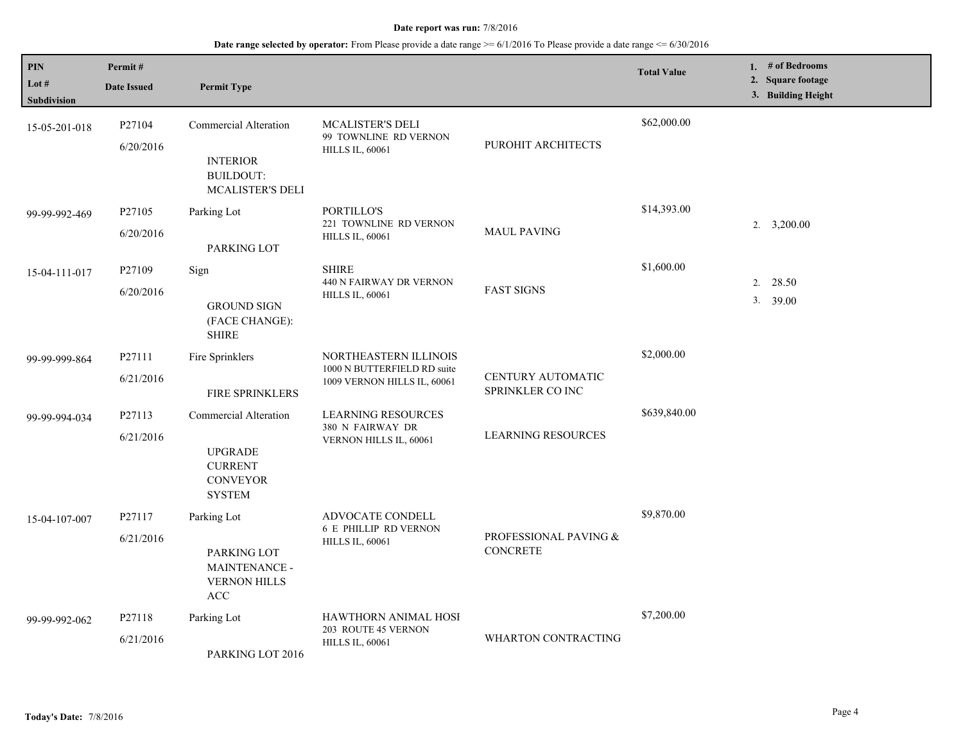| <b>PIN</b><br>Lot $#$<br>Subdivision | Permit#<br><b>Date Issued</b>   | <b>Permit Type</b>                                                                            |                                                                                     |                                          | <b>Total Value</b> | 1. $#$ of Bedrooms<br>2. Square footage<br>3. Building Height |
|--------------------------------------|---------------------------------|-----------------------------------------------------------------------------------------------|-------------------------------------------------------------------------------------|------------------------------------------|--------------------|---------------------------------------------------------------|
| 15-05-201-018                        | P27104<br>6/20/2016             | <b>Commercial Alteration</b><br><b>INTERIOR</b><br><b>BUILDOUT:</b><br>MCALISTER'S DELI       | <b>MCALISTER'S DELI</b><br>99 TOWNLINE RD VERNON<br><b>HILLS IL, 60061</b>          | PUROHIT ARCHITECTS                       | \$62,000.00        |                                                               |
| 99-99-992-469                        | P <sub>27105</sub><br>6/20/2016 | Parking Lot<br>PARKING LOT                                                                    | PORTILLO'S<br>221 TOWNLINE RD VERNON<br><b>HILLS IL, 60061</b>                      | <b>MAUL PAVING</b>                       | \$14,393.00        | 2. 3,200.00                                                   |
| 15-04-111-017                        | P <sub>27109</sub><br>6/20/2016 | Sign<br><b>GROUND SIGN</b><br>(FACE CHANGE):<br><b>SHIRE</b>                                  | <b>SHIRE</b><br>440 N FAIRWAY DR VERNON<br><b>HILLS IL, 60061</b>                   | <b>FAST SIGNS</b>                        | \$1,600.00         | 2.<br>28.50<br>3. 39.00                                       |
| 99-99-999-864                        | P27111<br>6/21/2016             | Fire Sprinklers<br><b>FIRE SPRINKLERS</b>                                                     | NORTHEASTERN ILLINOIS<br>1000 N BUTTERFIELD RD suite<br>1009 VERNON HILLS IL, 60061 | CENTURY AUTOMATIC<br>SPRINKLER CO INC    | \$2,000.00         |                                                               |
| 99-99-994-034                        | P27113<br>6/21/2016             | Commercial Alteration<br><b>UPGRADE</b><br><b>CURRENT</b><br><b>CONVEYOR</b><br><b>SYSTEM</b> | <b>LEARNING RESOURCES</b><br>380 N FAIRWAY DR<br>VERNON HILLS IL, 60061             | <b>LEARNING RESOURCES</b>                | \$639,840.00       |                                                               |
| 15-04-107-007                        | P27117<br>6/21/2016             | Parking Lot<br>PARKING LOT<br>MAINTENANCE -<br><b>VERNON HILLS</b><br>$\mathbf{ACC}$          | ADVOCATE CONDELL<br><b>6 E PHILLIP RD VERNON</b><br><b>HILLS IL, 60061</b>          | PROFESSIONAL PAVING &<br><b>CONCRETE</b> | \$9,870.00         |                                                               |
| 99-99-992-062                        | P27118<br>6/21/2016             | Parking Lot<br>PARKING LOT 2016                                                               | <b>HAWTHORN ANIMAL HOSI</b><br>203 ROUTE 45 VERNON<br><b>HILLS IL, 60061</b>        | <b>WHARTON CONTRACTING</b>               | \$7,200.00         |                                                               |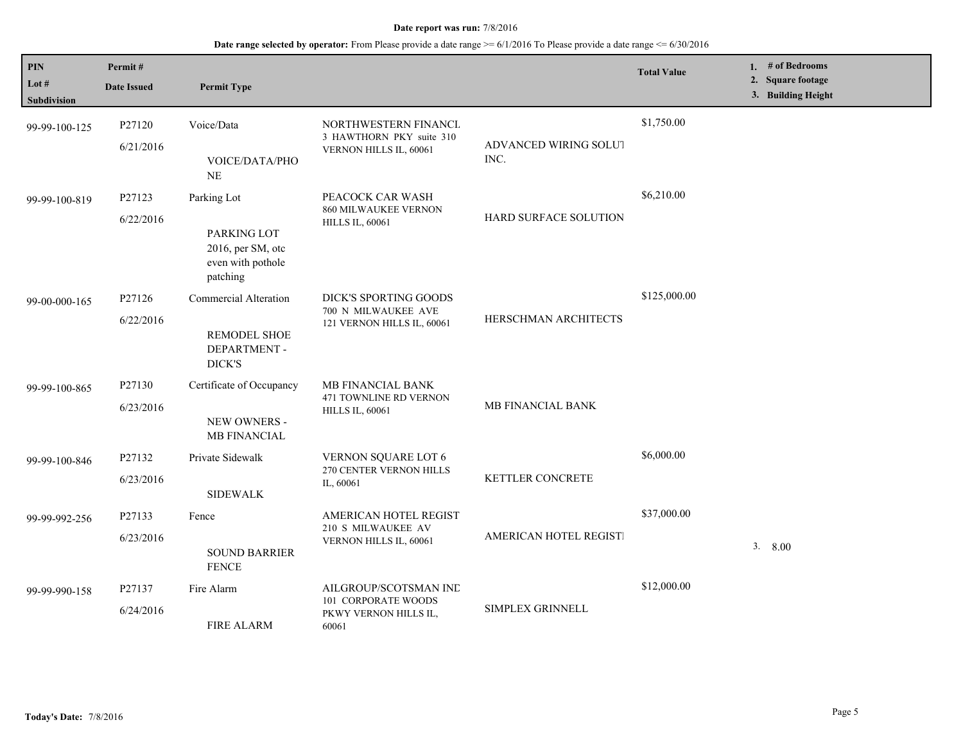| $\mathbf{PIN}$<br>Lot $#$<br>Subdivision | Permit#<br><b>Date Issued</b> | <b>Permit Type</b>                                                               |                                                                                |                               | <b>Total Value</b> | 1. # of Bedrooms<br>2. Square footage<br>3. Building Height |
|------------------------------------------|-------------------------------|----------------------------------------------------------------------------------|--------------------------------------------------------------------------------|-------------------------------|--------------------|-------------------------------------------------------------|
| 99-99-100-125                            | P27120<br>6/21/2016           | Voice/Data<br>VOICE/DATA/PHO<br>NE                                               | NORTHWESTERN FINANCL<br>3 HAWTHORN PKY suite 310<br>VERNON HILLS IL, 60061     | ADVANCED WIRING SOLUT<br>INC. | \$1,750.00         |                                                             |
| 99-99-100-819                            | P27123<br>6/22/2016           | Parking Lot<br>PARKING LOT<br>2016, per SM, otc<br>even with pothole<br>patching | PEACOCK CAR WASH<br><b>860 MILWAUKEE VERNON</b><br><b>HILLS IL, 60061</b>      | HARD SURFACE SOLUTION         | \$6,210.00         |                                                             |
| 99-00-000-165                            | P27126<br>6/22/2016           | <b>Commercial Alteration</b><br><b>REMODEL SHOE</b><br>DEPARTMENT -<br>DICK'S    | DICK'S SPORTING GOODS<br>700 N MILWAUKEE AVE<br>121 VERNON HILLS IL, 60061     | HERSCHMAN ARCHITECTS          | \$125,000.00       |                                                             |
| 99-99-100-865                            | P27130<br>6/23/2016           | Certificate of Occupancy<br>NEW OWNERS -<br><b>MB FINANCIAL</b>                  | MB FINANCIAL BANK<br>471 TOWNLINE RD VERNON<br><b>HILLS IL, 60061</b>          | MB FINANCIAL BANK             |                    |                                                             |
| 99-99-100-846                            | P27132<br>6/23/2016           | Private Sidewalk<br><b>SIDEWALK</b>                                              | <b>VERNON SQUARE LOT 6</b><br>270 CENTER VERNON HILLS<br>IL, 60061             | KETTLER CONCRETE              | \$6,000.00         |                                                             |
| 99-99-992-256                            | P27133<br>6/23/2016           | Fence<br><b>SOUND BARRIER</b><br><b>FENCE</b>                                    | AMERICAN HOTEL REGIST<br>210 S MILWAUKEE AV<br>VERNON HILLS IL, 60061          | AMERICAN HOTEL REGISTI        | \$37,000.00        | 3.<br>8.00                                                  |
| 99-99-990-158                            | P27137<br>6/24/2016           | Fire Alarm<br><b>FIRE ALARM</b>                                                  | AILGROUP/SCOTSMAN IND<br>101 CORPORATE WOODS<br>PKWY VERNON HILLS IL,<br>60061 | SIMPLEX GRINNELL              | \$12,000.00        |                                                             |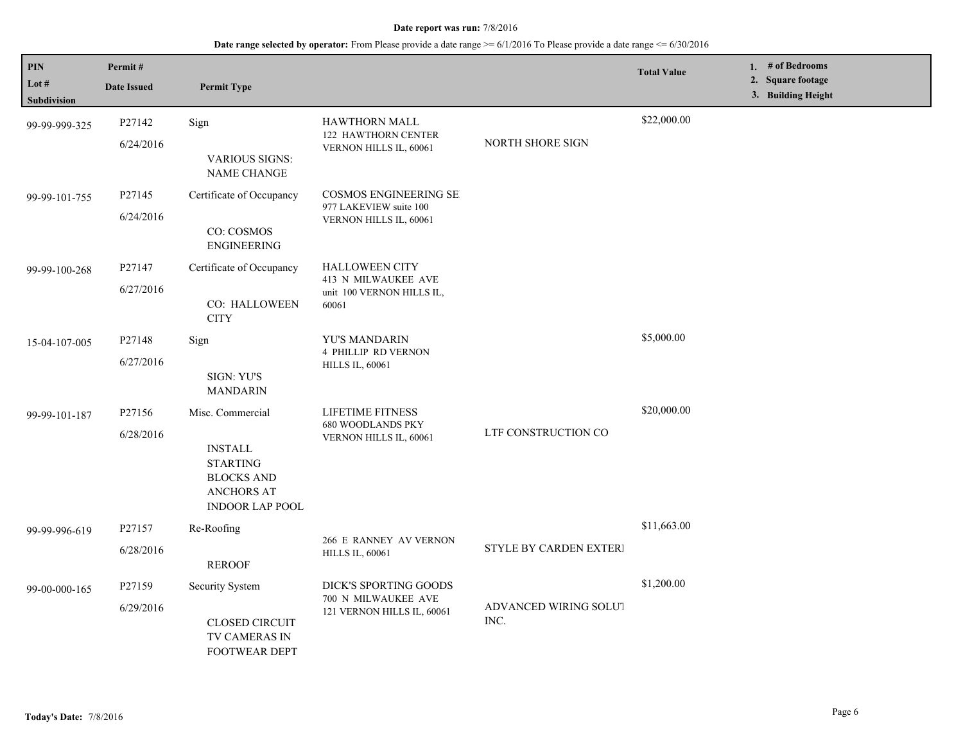| PIN<br>Lot #<br>Subdivision | Permit#<br><b>Date Issued</b> | <b>Permit Type</b>                                                                                                        |                                                                                    |                               | <b>Total Value</b> | 1. $#$ of Bedrooms<br>2. Square footage<br>3. Building Height |
|-----------------------------|-------------------------------|---------------------------------------------------------------------------------------------------------------------------|------------------------------------------------------------------------------------|-------------------------------|--------------------|---------------------------------------------------------------|
| 99-99-999-325               | P27142<br>6/24/2016           | Sign<br><b>VARIOUS SIGNS:</b><br>NAME CHANGE                                                                              | <b>HAWTHORN MALL</b><br>122 HAWTHORN CENTER<br>VERNON HILLS IL, 60061              | NORTH SHORE SIGN              | \$22,000.00        |                                                               |
| 99-99-101-755               | P27145<br>6/24/2016           | Certificate of Occupancy<br>CO: COSMOS<br><b>ENGINEERING</b>                                                              | <b>COSMOS ENGINEERING SE</b><br>977 LAKEVIEW suite 100<br>VERNON HILLS IL, 60061   |                               |                    |                                                               |
| 99-99-100-268               | P27147<br>6/27/2016           | Certificate of Occupancy<br>CO: HALLOWEEN<br><b>CITY</b>                                                                  | <b>HALLOWEEN CITY</b><br>413 N MILWAUKEE AVE<br>unit 100 VERNON HILLS IL,<br>60061 |                               |                    |                                                               |
| 15-04-107-005               | P27148<br>6/27/2016           | Sign<br>SIGN: YU'S<br><b>MANDARIN</b>                                                                                     | YU'S MANDARIN<br><b>4 PHILLIP RD VERNON</b><br><b>HILLS IL, 60061</b>              |                               | \$5,000.00         |                                                               |
| 99-99-101-187               | P27156<br>6/28/2016           | Misc. Commercial<br><b>INSTALL</b><br><b>STARTING</b><br><b>BLOCKS AND</b><br><b>ANCHORS AT</b><br><b>INDOOR LAP POOL</b> | <b>LIFETIME FITNESS</b><br><b>680 WOODLANDS PKY</b><br>VERNON HILLS IL, 60061      | LTF CONSTRUCTION CO           | \$20,000.00        |                                                               |
| 99-99-996-619               | P27157<br>6/28/2016           | Re-Roofing<br><b>REROOF</b>                                                                                               | 266 E RANNEY AV VERNON<br><b>HILLS IL, 60061</b>                                   | <b>STYLE BY CARDEN EXTERI</b> | \$11,663.00        |                                                               |
| 99-00-000-165               | P27159<br>6/29/2016           | Security System<br><b>CLOSED CIRCUIT</b><br>TV CAMERAS IN<br><b>FOOTWEAR DEPT</b>                                         | DICK'S SPORTING GOODS<br>700 N MILWAUKEE AVE<br>121 VERNON HILLS IL, 60061         | ADVANCED WIRING SOLUT<br>INC. | \$1,200.00         |                                                               |